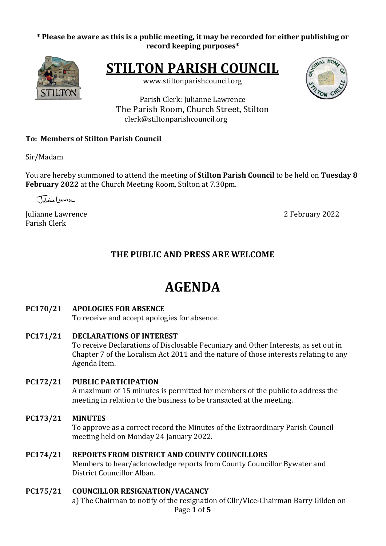#### \* Please be aware as this is a public meeting, it may be recorded for either publishing or **record keeping purposes\***



**STILTON PARISH COUNCIL** 

www.stiltonparishcouncil.org



Parish Clerk: Julianne Lawrence The Parish Room, Church Street, Stilton clerk@stiltonparishcouncil.org

#### **To: Members of Stilton Parish Council**

Sir/Madam

You are hereby summoned to attend the meeting of **Stilton Parish Council** to be held on Tuesday 8 **February 2022** at the Church Meeting Room, Stilton at 7.30pm.

Juliane Cantague

Julianne Lawrence 2022 Parish Clerk

# **THE PUBLIC AND PRESS ARE WELCOME**

# **AGENDA**

#### **PC170/21 APOLOGIES FOR ABSENCE**

To receive and accept apologies for absence.

**PC171/21 DECLARATIONS OF INTEREST** 

To receive Declarations of Disclosable Pecuniary and Other Interests, as set out in Chapter 7 of the Localism Act 2011 and the nature of those interests relating to any Agenda Item.

# **PC172/21 PUBLIC PARTICIPATION**

A maximum of 15 minutes is permitted for members of the public to address the meeting in relation to the business to be transacted at the meeting.

#### **PC173/21 MINUTES**

To approve as a correct record the Minutes of the Extraordinary Parish Council meeting held on Monday 24 January 2022.

#### **PC174/21 REPORTS FROM DISTRICT AND COUNTY COUNCILLORS**

Members to hear/acknowledge reports from County Councillor Bywater and District Councillor Alban.

#### **PC175/21 COUNCILLOR RESIGNATION/VACANCY**

Page **1** of **5** a) The Chairman to notify of the resignation of Cllr/Vice-Chairman Barry Gilden on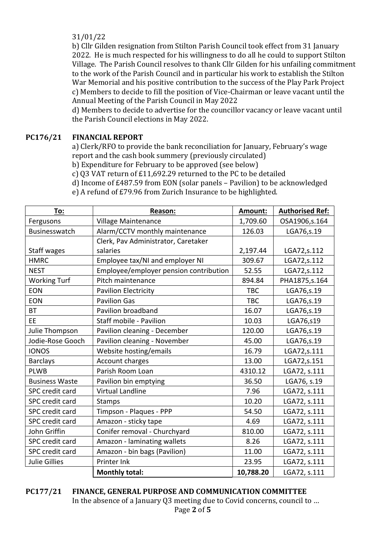31/01/22

b) Cllr Gilden resignation from Stilton Parish Council took effect from 31 January 2022. He is much respected for his willingness to do all he could to support Stilton Village. The Parish Council resolves to thank Cllr Gilden for his unfailing commitment to the work of the Parish Council and in particular his work to establish the Stilton War Memorial and his positive contribution to the success of the Play Park Project c) Members to decide to fill the position of Vice-Chairman or leave vacant until the Annual Meeting of the Parish Council in May 2022

d) Members to decide to advertise for the councillor vacancy or leave vacant until the Parish Council elections in May 2022.

# **PC176/21 FINANCIAL REPORT**

a) Clerk/RFO to provide the bank reconciliation for January, February's wage report and the cash book summery (previously circulated)

b) Expenditure for February to be approved (see below)

c) Q3 VAT return of £11,692.29 returned to the PC to be detailed

d) Income of  $£487.59$  from EON (solar panels – Pavilion) to be acknowledged

e) A refund of £79.96 from Zurich Insurance to be highlighted.

| To:                    | <b>Reason:</b>                         | Amount:    | <b>Authorised Ref:</b> |
|------------------------|----------------------------------------|------------|------------------------|
| Fergusons              | Village Maintenance                    | 1,709.60   | OSA1906,s.164          |
| Businesswatch          | Alarm/CCTV monthly maintenance         | 126.03     | LGA76,s.19             |
|                        | Clerk, Pav Administrator, Caretaker    |            |                        |
| Staff wages            | salaries                               | 2,197.44   | LGA72, s.112           |
| <b>HMRC</b>            | Employee tax/NI and employer NI        | 309.67     | LGA72, s.112           |
| <b>NEST</b>            | Employee/employer pension contribution | 52.55      | LGA72,s.112            |
| <b>Working Turf</b>    | Pitch maintenance                      | 894.84     | PHA1875, s. 164        |
| <b>EON</b>             | <b>Pavilion Electricity</b>            | <b>TBC</b> | LGA76,s.19             |
| <b>EON</b>             | <b>Pavilion Gas</b>                    | <b>TBC</b> | LGA76,s.19             |
| <b>BT</b>              | Pavilion broadband                     | 16.07      | LGA76,s.19             |
| EE                     | Staff mobile - Pavilion                | 10.03      | LGA76,s19              |
| Julie Thompson         | Pavilion cleaning - December           | 120.00     | LGA76, s.19            |
| Jodie-Rose Gooch       | Pavilion cleaning - November           | 45.00      | LGA76,s.19             |
| <b>IONOS</b>           | Website hosting/emails                 | 16.79      | LGA72,s.111            |
| <b>Barclays</b>        | Account charges                        | 13.00      | LGA72,s.151            |
| <b>PLWB</b>            | Parish Room Loan                       | 4310.12    | LGA72, s.111           |
| <b>Business Waste</b>  | Pavilion bin emptying                  | 36.50      | LGA76, s.19            |
| <b>SPC</b> credit card | <b>Virtual Landline</b>                | 7.96       | LGA72, s.111           |
| SPC credit card        | <b>Stamps</b>                          | 10.20      | LGA72, s.111           |
| SPC credit card        | Timpson - Plaques - PPP                | 54.50      | LGA72, s.111           |
| SPC credit card        | Amazon - sticky tape                   | 4.69       | LGA72, s.111           |
| John Griffin           | Conifer removal - Churchyard           | 810.00     | LGA72, s.111           |
| <b>SPC</b> credit card | Amazon - laminating wallets            | 8.26       | LGA72, s.111           |
| <b>SPC</b> credit card | Amazon - bin bags (Pavilion)           | 11.00      | LGA72, s.111           |
| <b>Julie Gillies</b>   | Printer Ink                            | 23.95      | LGA72, s.111           |
|                        | <b>Monthly total:</b>                  | 10,788.20  | LGA72, s.111           |

Page **2** of **5 PC177/21 FINANCE, GENERAL PURPOSE AND COMMUNICATION COMMITTEE** In the absence of a January  $Q3$  meeting due to Covid concerns, council to ...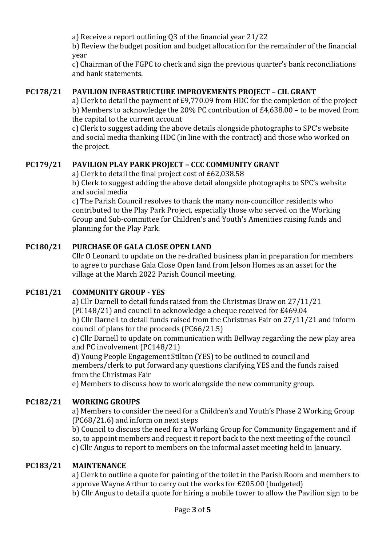a) Receive a report outlining Q3 of the financial year 21/22

b) Review the budget position and budget allocation for the remainder of the financial year

c) Chairman of the FGPC to check and sign the previous quarter's bank reconciliations and bank statements.

# **PC178/21 PAVILION INFRASTRUCTURE IMPROVEMENTS PROJECT - CIL GRANT**

a) Clerk to detail the payment of  $E9,770.09$  from HDC for the completion of the project b) Members to acknowledge the 20% PC contribution of  $£4,638.00 -$  to be moved from the capital to the current account

c) Clerk to suggest adding the above details alongside photographs to SPC's website and social media thanking HDC (in line with the contract) and those who worked on the project.

# **PC179/21 PAVILION PLAY PARK PROJECT – CCC COMMUNITY GRANT**

a) Clerk to detail the final project cost of £62,038.58 b) Clerk to suggest adding the above detail alongside photographs to SPC's website and social media

c) The Parish Council resolves to thank the many non-councillor residents who contributed to the Play Park Project, especially those who served on the Working Group and Sub-committee for Children's and Youth's Amenities raising funds and planning for the Play Park.

# **PC180/21 PURCHASE OF GALA CLOSE OPEN LAND**

Cllr O Leonard to update on the re-drafted business plan in preparation for members to agree to purchase Gala Close Open land from Jelson Homes as an asset for the village at the March 2022 Parish Council meeting.

# **PC181/21 COMMUNITY GROUP - YES**

a) Cllr Darnell to detail funds raised from the Christmas Draw on 27/11/21 (PC148/21) and council to acknowledge a cheque received for  $£469.04$ b) Cllr Darnell to detail funds raised from the Christmas Fair on 27/11/21 and inform council of plans for the proceeds  $(PC66/21.5)$ 

c) Cllr Darnell to update on communication with Bellway regarding the new play area and PC involvement (PC148/21)

d) Young People Engagement Stilton (YES) to be outlined to council and members/clerk to put forward any questions clarifying YES and the funds raised from the Christmas Fair

e) Members to discuss how to work alongside the new community group.

# **PC182/21 WORKING GROUPS**

a) Members to consider the need for a Children's and Youth's Phase 2 Working Group  $(PC68/21.6)$  and inform on next steps

b) Council to discuss the need for a Working Group for Community Engagement and if so, to appoint members and request it report back to the next meeting of the council c) Cllr Angus to report to members on the informal asset meeting held in January.

# **PC183/21 MAINTENANCE**

a) Clerk to outline a quote for painting of the toilet in the Parish Room and members to approve Wayne Arthur to carry out the works for £205.00 (budgeted) b) Cllr Angus to detail a quote for hiring a mobile tower to allow the Pavilion sign to be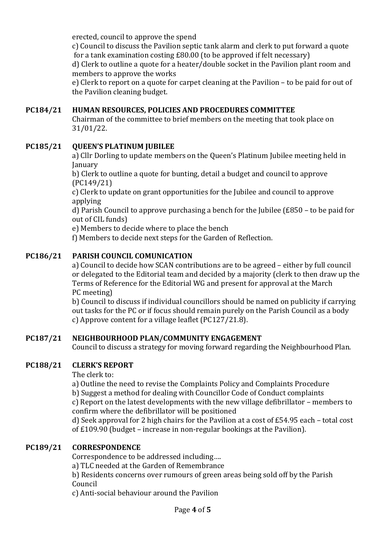erected, council to approve the spend

c) Council to discuss the Pavilion septic tank alarm and clerk to put forward a quote for a tank examination costing  $£80.00$  (to be approved if felt necessary)

d) Clerk to outline a quote for a heater/double socket in the Pavilion plant room and members to approve the works

e) Clerk to report on a quote for carpet cleaning at the Pavilion – to be paid for out of the Pavilion cleaning budget.

# **PC184/21 HUMAN RESOURCES, POLICIES AND PROCEDURES COMMITTEE**

Chairman of the committee to brief members on the meeting that took place on 31/01/22.

# **PC185/21 QUEEN'S PLATINUM JUBILEE**

a) Cllr Dorling to update members on the Queen's Platinum Jubilee meeting held in January

b) Clerk to outline a quote for bunting, detail a budget and council to approve (PC149/21)

c) Clerk to update on grant opportunities for the Jubilee and council to approve applying

d) Parish Council to approve purchasing a bench for the Jubilee  $(E850 -$  to be paid for out of CIL funds)

e) Members to decide where to place the bench

f) Members to decide next steps for the Garden of Reflection.

#### **PC186/21 PARISH COUNCIL COMUNICATION**

a) Council to decide how SCAN contributions are to be agreed – either by full council or delegated to the Editorial team and decided by a majority (clerk to then draw up the Terms of Reference for the Editorial WG and present for approval at the March PC meeting)

b) Council to discuss if individual councillors should be named on publicity if carrying out tasks for the PC or if focus should remain purely on the Parish Council as a body c) Approve content for a village leaflet  $(PC127/21.8)$ .

#### **PC187/21 NEIGHBOURHOOD PLAN/COMMUNITY ENGAGEMENT**

Council to discuss a strategy for moving forward regarding the Neighbourhood Plan.

#### **PC188/21 CLERK'S REPORT**

The clerk to:

a) Outline the need to revise the Complaints Policy and Complaints Procedure

b) Suggest a method for dealing with Councillor Code of Conduct complaints

c) Report on the latest developments with the new village defibrillator – members to confirm where the defibrillator will be positioned

d) Seek approval for 2 high chairs for the Pavilion at a cost of  $£54.95$  each – total cost of  $£109.90$  (budget – increase in non-regular bookings at the Pavilion).

#### **PC189/21 CORRESPONDENCE**

Correspondence to be addressed including....

a) TLC needed at the Garden of Remembrance

b) Residents concerns over rumours of green areas being sold off by the Parish Council

c) Anti-social behaviour around the Pavilion